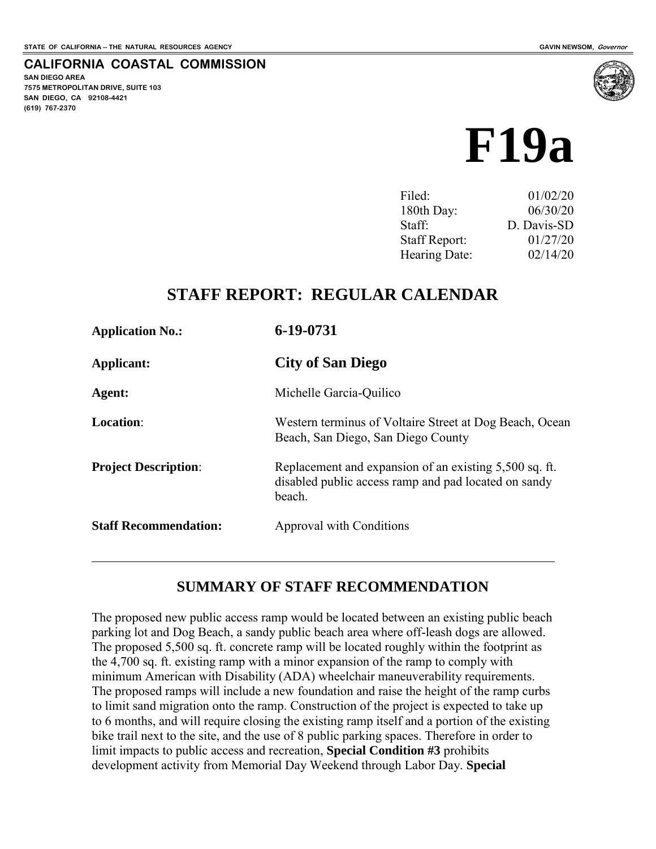**SAN DIEGO AREA** 

**(619) 767-2370**

**7575 METROPOLITAN DRIVE, SUITE 103 SAN DIEGO, CA 92108-4421**

**CALIFORNIA COASTAL COMMISSION** 



| Filed:               | 01/02/20    |
|----------------------|-------------|
| 180th Day:           | 06/30/20    |
| Staff:               | D. Davis-SD |
| <b>Staff Report:</b> | 01/27/20    |
| Hearing Date:        | 02/14/20    |
|                      |             |

## **STAFF REPORT: REGULAR CALENDAR**

| <b>Application No.:</b>      | 6-19-0731                                                                                                                |
|------------------------------|--------------------------------------------------------------------------------------------------------------------------|
| Applicant:                   | <b>City of San Diego</b>                                                                                                 |
| Agent:                       | Michelle Garcia-Quilico                                                                                                  |
| <b>Location:</b>             | Western terminus of Voltaire Street at Dog Beach, Ocean<br>Beach, San Diego, San Diego County                            |
| <b>Project Description:</b>  | Replacement and expansion of an existing 5,500 sq. ft.<br>disabled public access ramp and pad located on sandy<br>beach. |
| <b>Staff Recommendation:</b> | Approval with Conditions                                                                                                 |
|                              |                                                                                                                          |

### **SUMMARY OF STAFF RECOMMENDATION**

The proposed new public access ramp would be located between an existing public beach parking lot and Dog Beach, a sandy public beach area where off-leash dogs are allowed. The proposed 5,500 sq. ft. concrete ramp will be located roughly within the footprint as the 4,700 sq. ft. existing ramp with a minor expansion of the ramp to comply with minimum American with Disability (ADA) wheelchair maneuverability requirements. The proposed ramps will include a new foundation and raise the height of the ramp curbs to limit sand migration onto the ramp. Construction of the project is expected to take up to 6 months, and will require closing the existing ramp itself and a portion of the existing bike trail next to the site, and the use of 8 public parking spaces. Therefore in order to limit impacts to public access and recreation, **Special Condition #3** prohibits development activity from Memorial Day Weekend through Labor Day. **Special**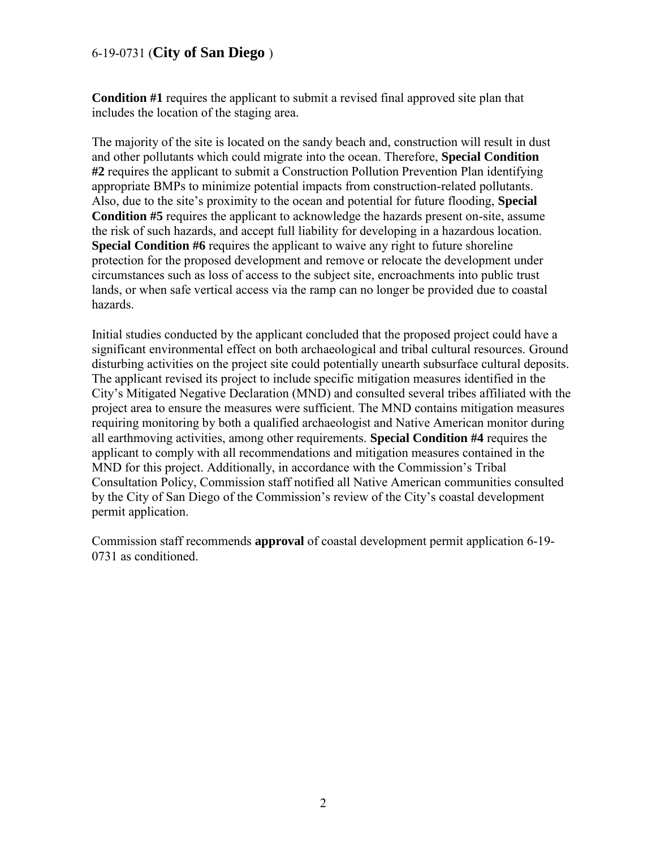**Condition #1** requires the applicant to submit a revised final approved site plan that includes the location of the staging area.

The majority of the site is located on the sandy beach and, construction will result in dust and other pollutants which could migrate into the ocean. Therefore, **Special Condition #2** requires the applicant to submit a Construction Pollution Prevention Plan identifying appropriate BMPs to minimize potential impacts from construction-related pollutants. Also, due to the site's proximity to the ocean and potential for future flooding, **Special Condition #5** requires the applicant to acknowledge the hazards present on-site, assume the risk of such hazards, and accept full liability for developing in a hazardous location. **Special Condition #6** requires the applicant to waive any right to future shoreline protection for the proposed development and remove or relocate the development under circumstances such as loss of access to the subject site, encroachments into public trust lands, or when safe vertical access via the ramp can no longer be provided due to coastal hazards.

Initial studies conducted by the applicant concluded that the proposed project could have a significant environmental effect on both archaeological and tribal cultural resources. Ground disturbing activities on the project site could potentially unearth subsurface cultural deposits. The applicant revised its project to include specific mitigation measures identified in the City's Mitigated Negative Declaration (MND) and consulted several tribes affiliated with the project area to ensure the measures were sufficient. The MND contains mitigation measures requiring monitoring by both a qualified archaeologist and Native American monitor during all earthmoving activities, among other requirements. **Special Condition #4** requires the applicant to comply with all recommendations and mitigation measures contained in the MND for this project. Additionally, in accordance with the Commission's Tribal Consultation Policy, Commission staff notified all Native American communities consulted by the City of San Diego of the Commission's review of the City's coastal development permit application.

Commission staff recommends **approval** of coastal development permit application 6-19- 0731 as conditioned.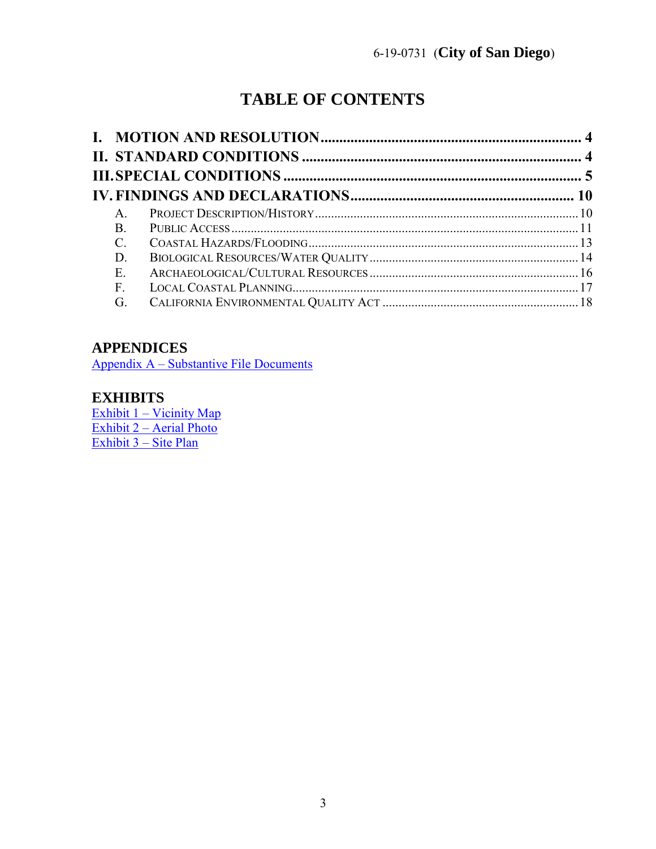# **TABLE OF CONTENTS**

| A.            |  |
|---------------|--|
| $\mathbf{B}$  |  |
| $\mathcal{C}$ |  |
| D.            |  |
| E.            |  |
| F.            |  |
| G.            |  |

## **APPENDICES**

Appendix A – [Substantive File Documents](#page-18-0)

## **EXHIBITS**

Exhibit 1 – Vicinity Map Exhibit 2 – [Aerial Photo](https://documents.coastal.ca.gov/reports/2020/2/f19a/f19a-2-2020-exhibits.pdf)  [Exhibit 3 –](https://documents.coastal.ca.gov/reports/2020/2/f19a/f19a-2-2020-exhibits.pdf) Site Plan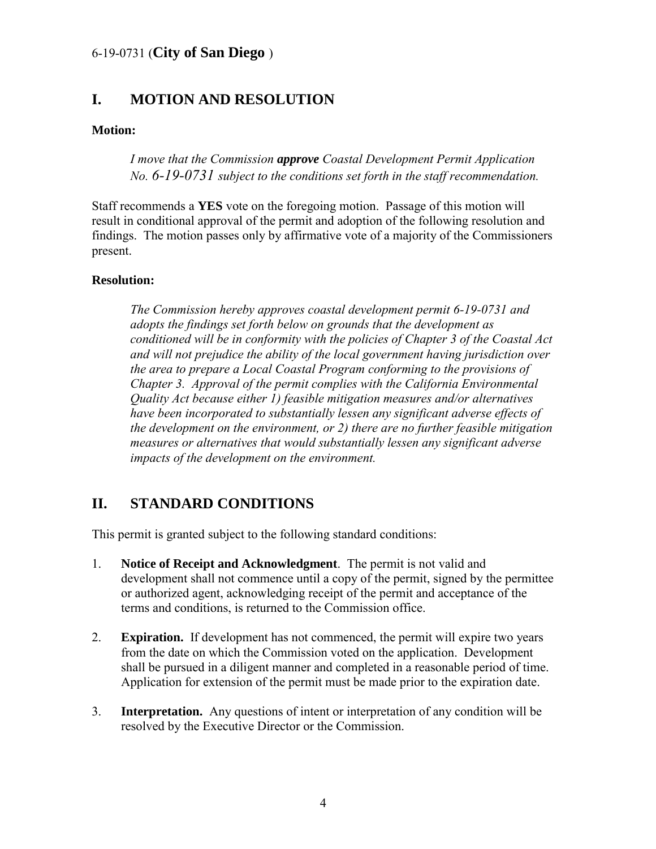## <span id="page-3-0"></span>**I. MOTION AND RESOLUTION**

#### **Motion:**

*I move that the Commission approve Coastal Development Permit Application No. 6-19-0731 subject to the conditions set forth in the staff recommendation.* 

Staff recommends a **YES** vote on the foregoing motion. Passage of this motion will result in conditional approval of the permit and adoption of the following resolution and findings. The motion passes only by affirmative vote of a majority of the Commissioners present.

#### **Resolution:**

*The Commission hereby approves coastal development permit 6-19-0731 and adopts the findings set forth below on grounds that the development as conditioned will be in conformity with the policies of Chapter 3 of the Coastal Act and will not prejudice the ability of the local government having jurisdiction over the area to prepare a Local Coastal Program conforming to the provisions of Chapter 3. Approval of the permit complies with the California Environmental Quality Act because either 1) feasible mitigation measures and/or alternatives have been incorporated to substantially lessen any significant adverse effects of the development on the environment, or 2) there are no further feasible mitigation measures or alternatives that would substantially lessen any significant adverse impacts of the development on the environment.* 

## <span id="page-3-1"></span>**II. STANDARD CONDITIONS**

This permit is granted subject to the following standard conditions:

- 1. **Notice of Receipt and Acknowledgment**. The permit is not valid and development shall not commence until a copy of the permit, signed by the permittee or authorized agent, acknowledging receipt of the permit and acceptance of the terms and conditions, is returned to the Commission office.
- 2. **Expiration.** If development has not commenced, the permit will expire two years from the date on which the Commission voted on the application. Development shall be pursued in a diligent manner and completed in a reasonable period of time. Application for extension of the permit must be made prior to the expiration date.
- 3. **Interpretation.** Any questions of intent or interpretation of any condition will be resolved by the Executive Director or the Commission.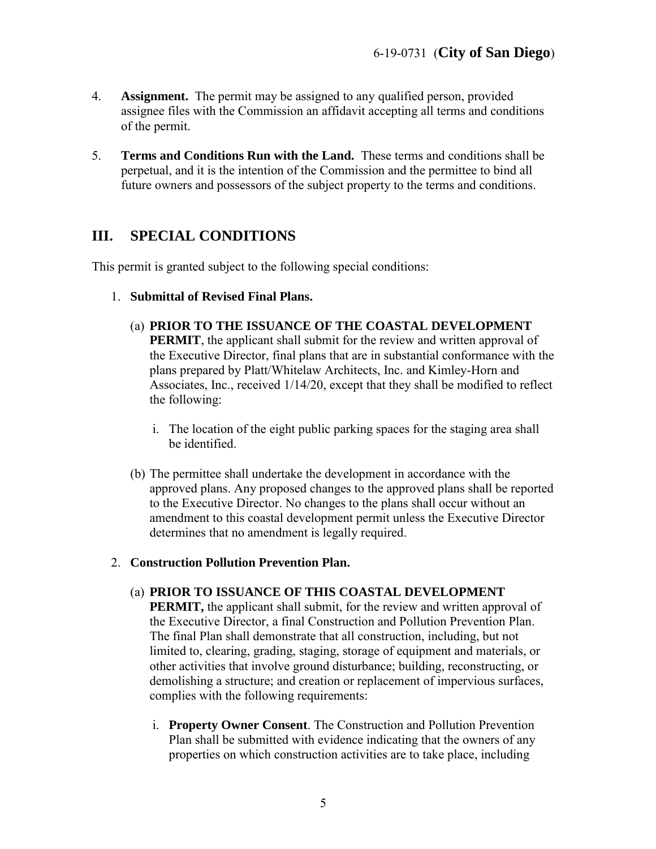- 4. **Assignment.** The permit may be assigned to any qualified person, provided assignee files with the Commission an affidavit accepting all terms and conditions of the permit.
- 5. **Terms and Conditions Run with the Land.** These terms and conditions shall be perpetual, and it is the intention of the Commission and the permittee to bind all future owners and possessors of the subject property to the terms and conditions.

## <span id="page-4-0"></span>**III. SPECIAL CONDITIONS**

This permit is granted subject to the following special conditions:

- 1. **Submittal of Revised Final Plans.** 
	- (a) **PRIOR TO THE ISSUANCE OF THE COASTAL DEVELOPMENT**

**PERMIT**, the applicant shall submit for the review and written approval of the Executive Director, final plans that are in substantial conformance with the plans prepared by Platt/Whitelaw Architects, Inc. and Kimley-Horn and Associates, Inc., received 1/14/20, except that they shall be modified to reflect the following:

- i. The location of the eight public parking spaces for the staging area shall be identified.
- (b) The permittee shall undertake the development in accordance with the approved plans. Any proposed changes to the approved plans shall be reported to the Executive Director. No changes to the plans shall occur without an amendment to this coastal development permit unless the Executive Director determines that no amendment is legally required.

#### 2. **Construction Pollution Prevention Plan.**

(a) **PRIOR TO ISSUANCE OF THIS COASTAL DEVELOPMENT** 

**PERMIT,** the applicant shall submit, for the review and written approval of the Executive Director, a final Construction and Pollution Prevention Plan. The final Plan shall demonstrate that all construction, including, but not limited to, clearing, grading, staging, storage of equipment and materials, or other activities that involve ground disturbance; building, reconstructing, or demolishing a structure; and creation or replacement of impervious surfaces, complies with the following requirements:

i. **Property Owner Consent**. The Construction and Pollution Prevention Plan shall be submitted with evidence indicating that the owners of any properties on which construction activities are to take place, including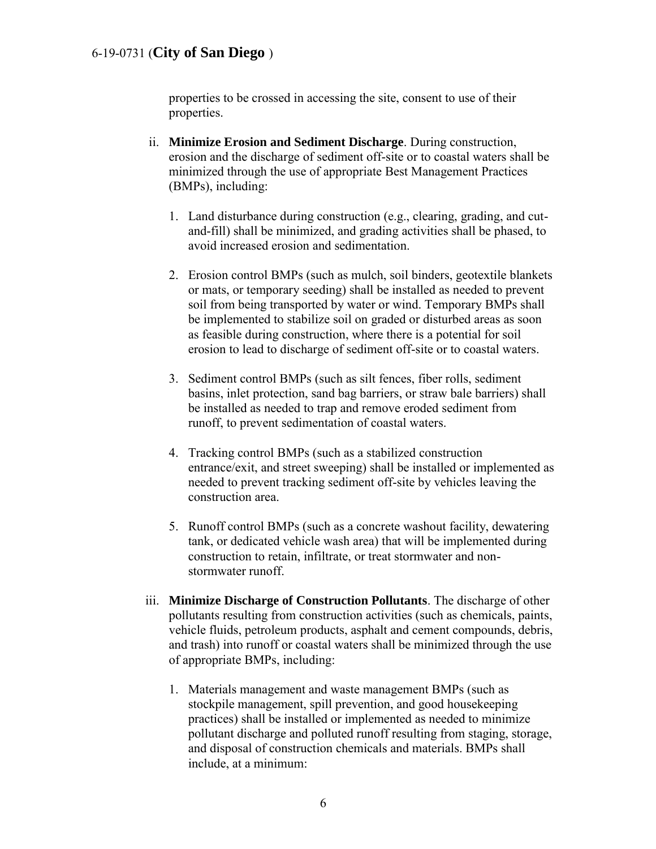properties to be crossed in accessing the site, consent to use of their properties.

- ii. **Minimize Erosion and Sediment Discharge**. During construction, erosion and the discharge of sediment off-site or to coastal waters shall be minimized through the use of appropriate Best Management Practices (BMPs), including:
	- 1. Land disturbance during construction (e.g., clearing, grading, and cutand-fill) shall be minimized, and grading activities shall be phased, to avoid increased erosion and sedimentation.
	- 2. Erosion control BMPs (such as mulch, soil binders, geotextile blankets or mats, or temporary seeding) shall be installed as needed to prevent soil from being transported by water or wind. Temporary BMPs shall be implemented to stabilize soil on graded or disturbed areas as soon as feasible during construction, where there is a potential for soil erosion to lead to discharge of sediment off-site or to coastal waters.
	- 3. Sediment control BMPs (such as silt fences, fiber rolls, sediment basins, inlet protection, sand bag barriers, or straw bale barriers) shall be installed as needed to trap and remove eroded sediment from runoff, to prevent sedimentation of coastal waters.
	- 4. Tracking control BMPs (such as a stabilized construction entrance/exit, and street sweeping) shall be installed or implemented as needed to prevent tracking sediment off-site by vehicles leaving the construction area.
	- 5. Runoff control BMPs (such as a concrete washout facility, dewatering tank, or dedicated vehicle wash area) that will be implemented during construction to retain, infiltrate, or treat stormwater and nonstormwater runoff.
- iii. **Minimize Discharge of Construction Pollutants**. The discharge of other pollutants resulting from construction activities (such as chemicals, paints, vehicle fluids, petroleum products, asphalt and cement compounds, debris, and trash) into runoff or coastal waters shall be minimized through the use of appropriate BMPs, including:
	- 1. Materials management and waste management BMPs (such as stockpile management, spill prevention, and good housekeeping practices) shall be installed or implemented as needed to minimize pollutant discharge and polluted runoff resulting from staging, storage, and disposal of construction chemicals and materials. BMPs shall include, at a minimum: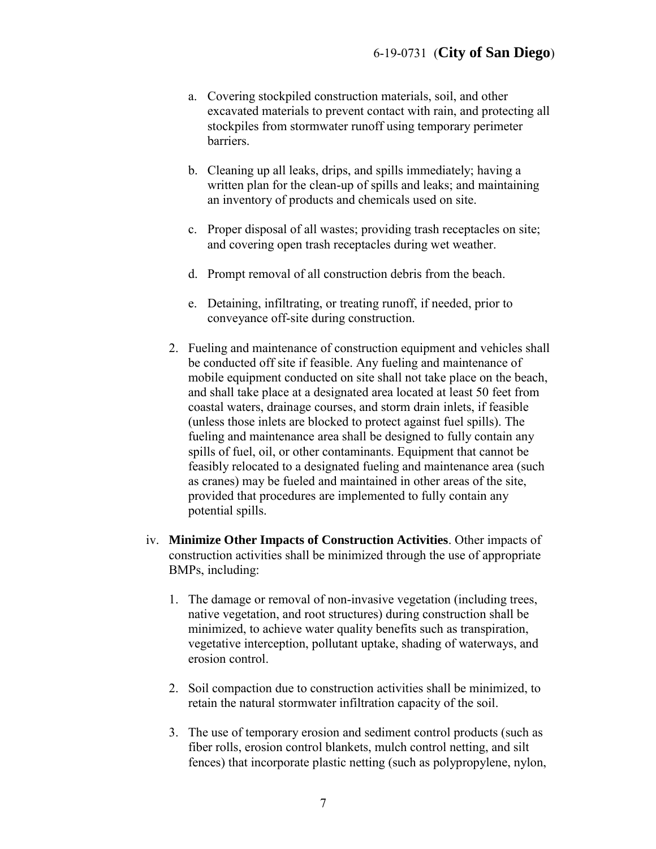- a. Covering stockpiled construction materials, soil, and other excavated materials to prevent contact with rain, and protecting all stockpiles from stormwater runoff using temporary perimeter barriers.
- b. Cleaning up all leaks, drips, and spills immediately; having a written plan for the clean-up of spills and leaks; and maintaining an inventory of products and chemicals used on site.
- c. Proper disposal of all wastes; providing trash receptacles on site; and covering open trash receptacles during wet weather.
- d. Prompt removal of all construction debris from the beach.
- e. Detaining, infiltrating, or treating runoff, if needed, prior to conveyance off-site during construction.
- 2. Fueling and maintenance of construction equipment and vehicles shall be conducted off site if feasible. Any fueling and maintenance of mobile equipment conducted on site shall not take place on the beach, and shall take place at a designated area located at least 50 feet from coastal waters, drainage courses, and storm drain inlets, if feasible (unless those inlets are blocked to protect against fuel spills). The fueling and maintenance area shall be designed to fully contain any spills of fuel, oil, or other contaminants. Equipment that cannot be feasibly relocated to a designated fueling and maintenance area (such as cranes) may be fueled and maintained in other areas of the site, provided that procedures are implemented to fully contain any potential spills.
- iv. **Minimize Other Impacts of Construction Activities**. Other impacts of construction activities shall be minimized through the use of appropriate BMPs, including:
	- 1. The damage or removal of non-invasive vegetation (including trees, native vegetation, and root structures) during construction shall be minimized, to achieve water quality benefits such as transpiration, vegetative interception, pollutant uptake, shading of waterways, and erosion control.
	- 2. Soil compaction due to construction activities shall be minimized, to retain the natural stormwater infiltration capacity of the soil.
	- 3. The use of temporary erosion and sediment control products (such as fiber rolls, erosion control blankets, mulch control netting, and silt fences) that incorporate plastic netting (such as polypropylene, nylon,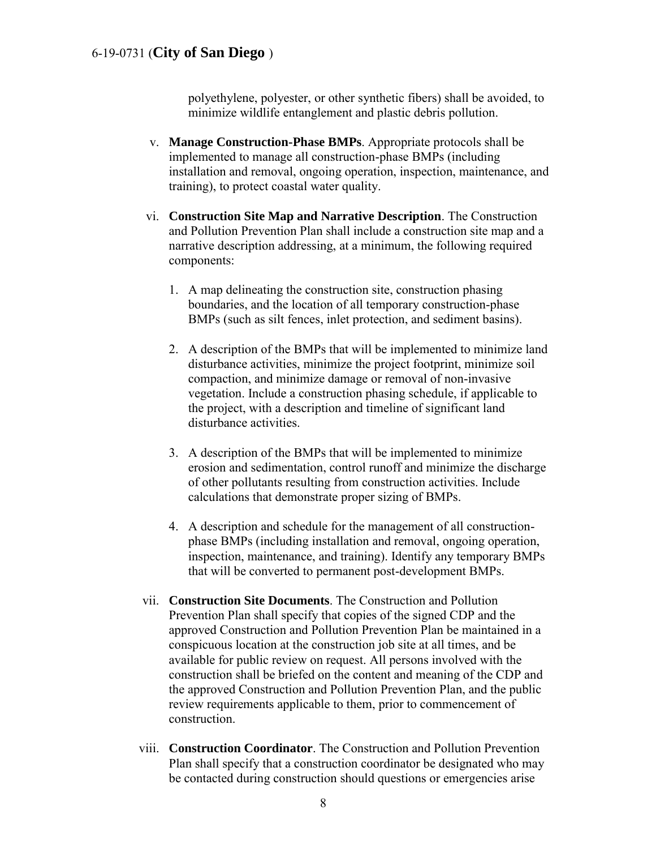polyethylene, polyester, or other synthetic fibers) shall be avoided, to minimize wildlife entanglement and plastic debris pollution.

- v. **Manage Construction-Phase BMPs**. Appropriate protocols shall be implemented to manage all construction-phase BMPs (including installation and removal, ongoing operation, inspection, maintenance, and training), to protect coastal water quality.
- vi. **Construction Site Map and Narrative Description**. The Construction and Pollution Prevention Plan shall include a construction site map and a narrative description addressing, at a minimum, the following required components:
	- 1. A map delineating the construction site, construction phasing boundaries, and the location of all temporary construction-phase BMPs (such as silt fences, inlet protection, and sediment basins).
	- 2. A description of the BMPs that will be implemented to minimize land disturbance activities, minimize the project footprint, minimize soil compaction, and minimize damage or removal of non-invasive vegetation. Include a construction phasing schedule, if applicable to the project, with a description and timeline of significant land disturbance activities.
	- 3. A description of the BMPs that will be implemented to minimize erosion and sedimentation, control runoff and minimize the discharge of other pollutants resulting from construction activities. Include calculations that demonstrate proper sizing of BMPs.
	- 4. A description and schedule for the management of all constructionphase BMPs (including installation and removal, ongoing operation, inspection, maintenance, and training). Identify any temporary BMPs that will be converted to permanent post-development BMPs.
- vii. **Construction Site Documents**. The Construction and Pollution Prevention Plan shall specify that copies of the signed CDP and the approved Construction and Pollution Prevention Plan be maintained in a conspicuous location at the construction job site at all times, and be available for public review on request. All persons involved with the construction shall be briefed on the content and meaning of the CDP and the approved Construction and Pollution Prevention Plan, and the public review requirements applicable to them, prior to commencement of construction.
- viii. **Construction Coordinator**. The Construction and Pollution Prevention Plan shall specify that a construction coordinator be designated who may be contacted during construction should questions or emergencies arise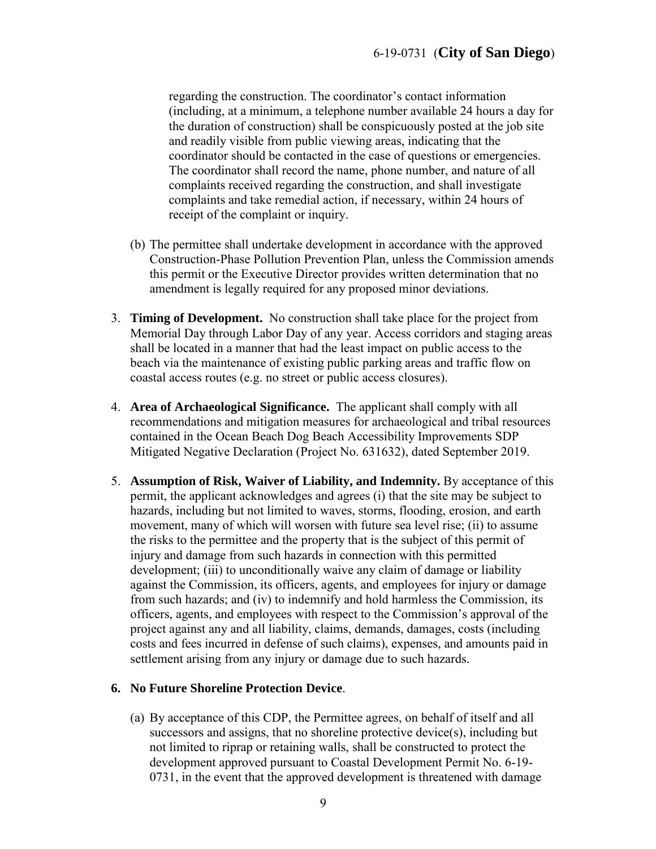regarding the construction. The coordinator's contact information (including, at a minimum, a telephone number available 24 hours a day for the duration of construction) shall be conspicuously posted at the job site and readily visible from public viewing areas, indicating that the coordinator should be contacted in the case of questions or emergencies. The coordinator shall record the name, phone number, and nature of all complaints received regarding the construction, and shall investigate complaints and take remedial action, if necessary, within 24 hours of receipt of the complaint or inquiry.

- (b) The permittee shall undertake development in accordance with the approved Construction-Phase Pollution Prevention Plan, unless the Commission amends this permit or the Executive Director provides written determination that no amendment is legally required for any proposed minor deviations.
- 3. **Timing of Development.** No construction shall take place for the project from Memorial Day through Labor Day of any year. Access corridors and staging areas shall be located in a manner that had the least impact on public access to the beach via the maintenance of existing public parking areas and traffic flow on coastal access routes (e.g. no street or public access closures).
- 4. **Area of Archaeological Significance.** The applicant shall comply with all recommendations and mitigation measures for archaeological and tribal resources contained in the Ocean Beach Dog Beach Accessibility Improvements SDP Mitigated Negative Declaration (Project No. 631632), dated September 2019.
- 5. **Assumption of Risk, Waiver of Liability, and Indemnity.** By acceptance of this permit, the applicant acknowledges and agrees (i) that the site may be subject to hazards, including but not limited to waves, storms, flooding, erosion, and earth movement, many of which will worsen with future sea level rise; (ii) to assume the risks to the permittee and the property that is the subject of this permit of injury and damage from such hazards in connection with this permitted development; (iii) to unconditionally waive any claim of damage or liability against the Commission, its officers, agents, and employees for injury or damage from such hazards; and (iv) to indemnify and hold harmless the Commission, its officers, agents, and employees with respect to the Commission's approval of the project against any and all liability, claims, demands, damages, costs (including costs and fees incurred in defense of such claims), expenses, and amounts paid in settlement arising from any injury or damage due to such hazards.

#### **6. No Future Shoreline Protection Device**.

(a) By acceptance of this CDP, the Permittee agrees, on behalf of itself and all successors and assigns, that no shoreline protective device(s), including but not limited to riprap or retaining walls, shall be constructed to protect the development approved pursuant to Coastal Development Permit No. 6-19- 0731, in the event that the approved development is threatened with damage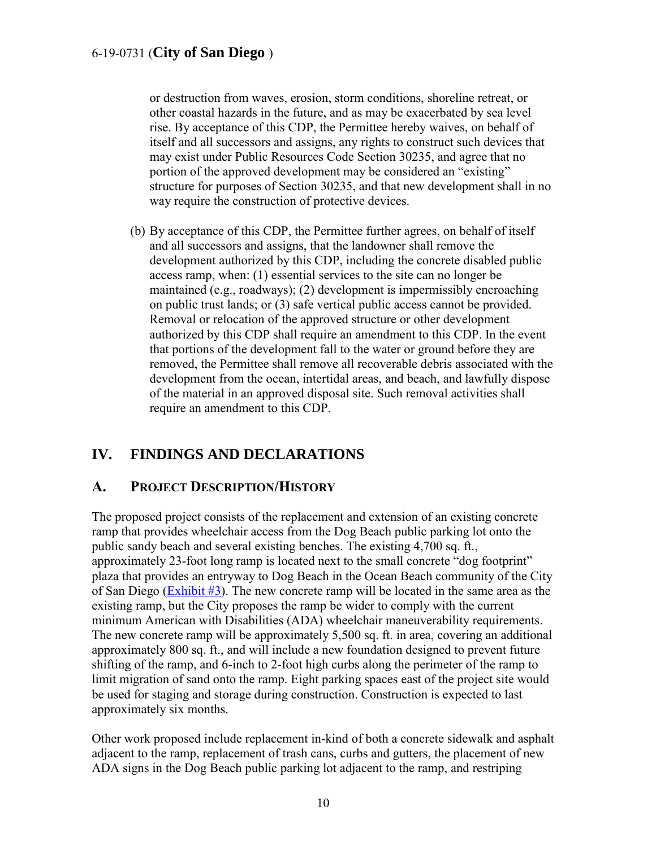or destruction from waves, erosion, storm conditions, shoreline retreat, or other coastal hazards in the future, and as may be exacerbated by sea level rise. By acceptance of this CDP, the Permittee hereby waives, on behalf of itself and all successors and assigns, any rights to construct such devices that may exist under Public Resources Code Section 30235, and agree that no portion of the approved development may be considered an "existing" structure for purposes of Section 30235, and that new development shall in no way require the construction of protective devices.

(b) By acceptance of this CDP, the Permittee further agrees, on behalf of itself and all successors and assigns, that the landowner shall remove the development authorized by this CDP, including the concrete disabled public access ramp, when: (1) essential services to the site can no longer be maintained (e.g., roadways); (2) development is impermissibly encroaching on public trust lands; or (3) safe vertical public access cannot be provided. Removal or relocation of the approved structure or other development authorized by this CDP shall require an amendment to this CDP. In the event that portions of the development fall to the water or ground before they are removed, the Permittee shall remove all recoverable debris associated with the development from the ocean, intertidal areas, and beach, and lawfully dispose of the material in an approved disposal site. Such removal activities shall require an amendment to this CDP.

## <span id="page-9-0"></span>**IV. FINDINGS AND DECLARATIONS**

### <span id="page-9-1"></span>**A. PROJECT DESCRIPTION/HISTORY**

The proposed project consists of the replacement and extension of an existing concrete ramp that provides wheelchair access from the Dog Beach public parking lot onto the public sandy beach and several existing benches. The existing 4,700 sq. ft., approximately 23-foot long ramp is located next to the small concrete "dog footprint" plaza that provides an entryway to Dog Beach in the Ocean Beach community of the City of San Diego [\(Exhibit #3\)](https://documents.coastal.ca.gov/reports/2020/2/f19a/f19a-2-2020-exhibits.pdf). The new concrete ramp will be located in the same area as the existing ramp, but the City proposes the ramp be wider to comply with the current minimum American with Disabilities (ADA) wheelchair maneuverability requirements. The new concrete ramp will be approximately 5,500 sq. ft. in area, covering an additional approximately 800 sq. ft., and will include a new foundation designed to prevent future shifting of the ramp, and 6-inch to 2-foot high curbs along the perimeter of the ramp to limit migration of sand onto the ramp. Eight parking spaces east of the project site would be used for staging and storage during construction. Construction is expected to last approximately six months.

Other work proposed include replacement in-kind of both a concrete sidewalk and asphalt adjacent to the ramp, replacement of trash cans, curbs and gutters, the placement of new ADA signs in the Dog Beach public parking lot adjacent to the ramp, and restriping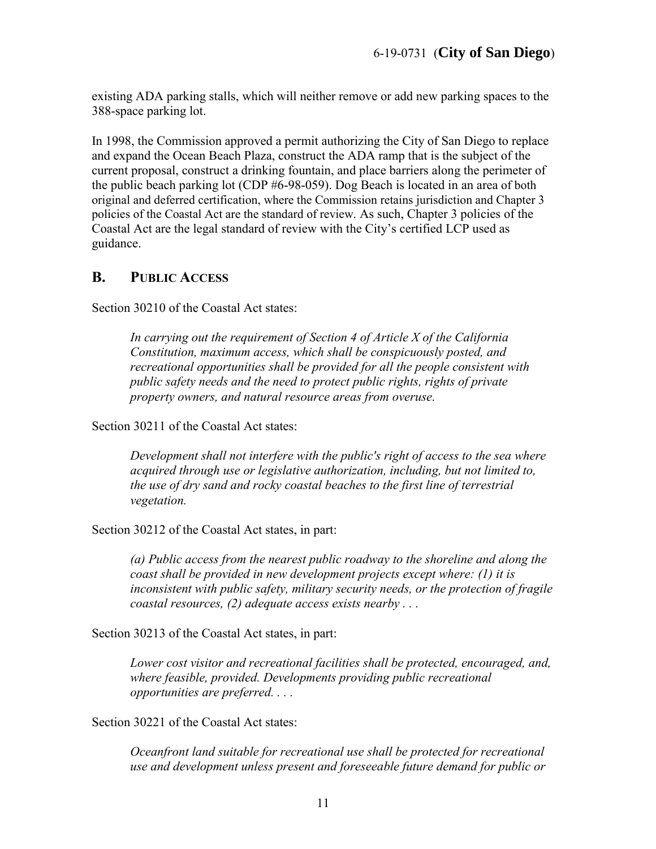existing ADA parking stalls, which will neither remove or add new parking spaces to the 388-space parking lot.

In 1998, the Commission approved a permit authorizing the City of San Diego to replace and expand the Ocean Beach Plaza, construct the ADA ramp that is the subject of the current proposal, construct a drinking fountain, and place barriers along the perimeter of the public beach parking lot (CDP #6-98-059). Dog Beach is located in an area of both original and deferred certification, where the Commission retains jurisdiction and Chapter 3 policies of the Coastal Act are the standard of review. As such, Chapter 3 policies of the Coastal Act are the legal standard of review with the City's certified LCP used as guidance.

#### <span id="page-10-0"></span>**B. PUBLIC ACCESS**

Section 30210 of the Coastal Act states:

*In carrying out the requirement of Section 4 of Article X of the California Constitution, maximum access, which shall be conspicuously posted, and recreational opportunities shall be provided for all the people consistent with public safety needs and the need to protect public rights, rights of private property owners, and natural resource areas from overuse.* 

Section 30211 of the Coastal Act states:

*Development shall not interfere with the public's right of access to the sea where acquired through use or legislative authorization, including, but not limited to, the use of dry sand and rocky coastal beaches to the first line of terrestrial vegetation.* 

Section 30212 of the Coastal Act states, in part:

*(a) Public access from the nearest public roadway to the shoreline and along the coast shall be provided in new development projects except where: (1) it is inconsistent with public safety, military security needs, or the protection of fragile coastal resources, (2) adequate access exists nearby . . .* 

Section 30213 of the Coastal Act states, in part:

*Lower cost visitor and recreational facilities shall be protected, encouraged, and, where feasible, provided. Developments providing public recreational opportunities are preferred. . . .* 

Section 30221 of the Coastal Act states:

*Oceanfront land suitable for recreational use shall be protected for recreational use and development unless present and foreseeable future demand for public or*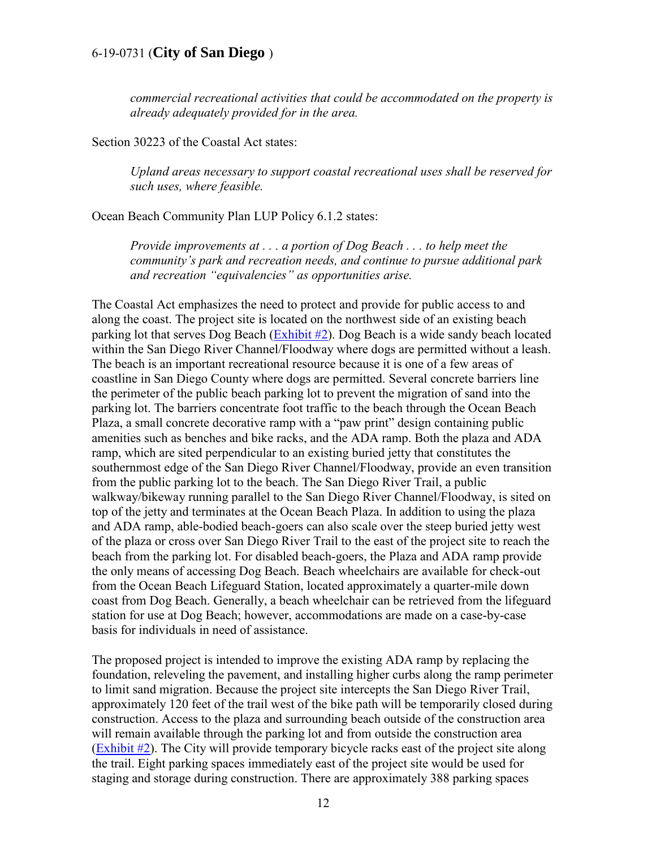*commercial recreational activities that could be accommodated on the property is already adequately provided for in the area.* 

Section 30223 of the Coastal Act states:

*Upland areas necessary to support coastal recreational uses shall be reserved for such uses, where feasible.* 

Ocean Beach Community Plan LUP Policy 6.1.2 states:

*Provide improvements at . . . a portion of Dog Beach . . . to help meet the community's park and recreation needs, and continue to pursue additional park and recreation "equivalencies" as opportunities arise.* 

The Coastal Act emphasizes the need to protect and provide for public access to and along the coast. The project site is located on the northwest side of an existing beach parking lot that serves Dog Beach  $(Exhibit #2)$ . Dog Beach is a wide sandy beach located within the San Diego River Channel/Floodway where dogs are permitted without a leash. The beach is an important recreational resource because it is one of a few areas of coastline in San Diego County where dogs are permitted. Several concrete barriers line the perimeter of the public beach parking lot to prevent the migration of sand into the parking lot. The barriers concentrate foot traffic to the beach through the Ocean Beach Plaza, a small concrete decorative ramp with a "paw print" design containing public amenities such as benches and bike racks, and the ADA ramp. Both the plaza and ADA ramp, which are sited perpendicular to an existing buried jetty that constitutes the southernmost edge of the San Diego River Channel/Floodway, provide an even transition from the public parking lot to the beach. The San Diego River Trail, a public walkway/bikeway running parallel to the San Diego River Channel/Floodway, is sited on top of the jetty and terminates at the Ocean Beach Plaza. In addition to using the plaza and ADA ramp, able-bodied beach-goers can also scale over the steep buried jetty west of the plaza or cross over San Diego River Trail to the east of the project site to reach the beach from the parking lot. For disabled beach-goers, the Plaza and ADA ramp provide the only means of accessing Dog Beach. Beach wheelchairs are available for check-out from the Ocean Beach Lifeguard Station, located approximately a quarter-mile down coast from Dog Beach. Generally, a beach wheelchair can be retrieved from the lifeguard station for use at Dog Beach; however, accommodations are made on a case-by-case basis for individuals in need of assistance.

The proposed project is intended to improve the existing ADA ramp by replacing the foundation, releveling the pavement, and installing higher curbs along the ramp perimeter to limit sand migration. Because the project site intercepts the San Diego River Trail, approximately 120 feet of the trail west of the bike path will be temporarily closed during construction. Access to the plaza and surrounding beach outside of the construction area will remain available through the parking lot and from outside the construction area [\(Exhibit #2\)](https://documents.coastal.ca.gov/reports/2020/2/f19a/f19a-2-2020-exhibits.pdf). The City will provide temporary bicycle racks east of the project site along the trail. Eight parking spaces immediately east of the project site would be used for staging and storage during construction. There are approximately 388 parking spaces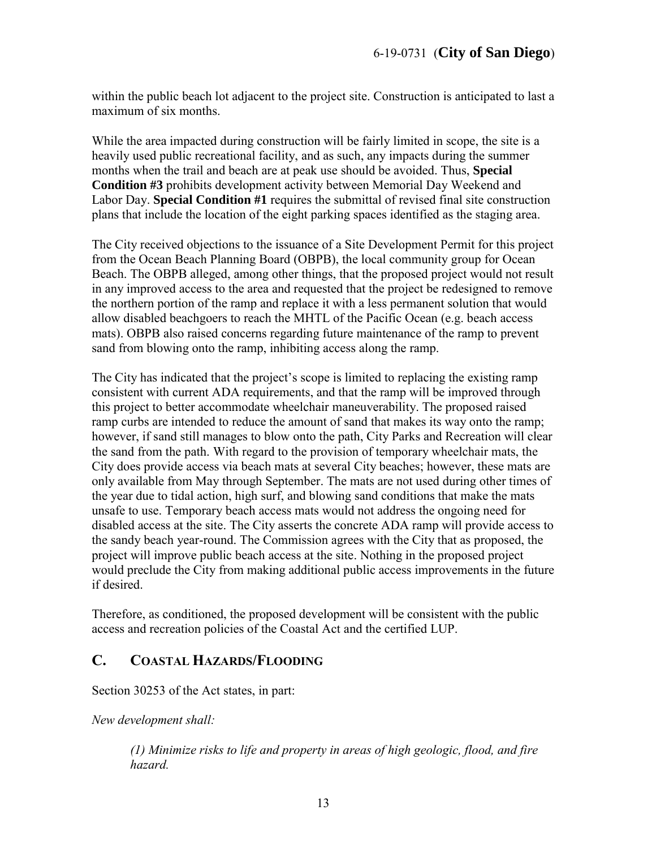within the public beach lot adjacent to the project site. Construction is anticipated to last a maximum of six months.

While the area impacted during construction will be fairly limited in scope, the site is a heavily used public recreational facility, and as such, any impacts during the summer months when the trail and beach are at peak use should be avoided. Thus, **Special Condition #3** prohibits development activity between Memorial Day Weekend and Labor Day. **Special Condition #1** requires the submittal of revised final site construction plans that include the location of the eight parking spaces identified as the staging area.

The City received objections to the issuance of a Site Development Permit for this project from the Ocean Beach Planning Board (OBPB), the local community group for Ocean Beach. The OBPB alleged, among other things, that the proposed project would not result in any improved access to the area and requested that the project be redesigned to remove the northern portion of the ramp and replace it with a less permanent solution that would allow disabled beachgoers to reach the MHTL of the Pacific Ocean (e.g. beach access mats). OBPB also raised concerns regarding future maintenance of the ramp to prevent sand from blowing onto the ramp, inhibiting access along the ramp.

The City has indicated that the project's scope is limited to replacing the existing ramp consistent with current ADA requirements, and that the ramp will be improved through this project to better accommodate wheelchair maneuverability. The proposed raised ramp curbs are intended to reduce the amount of sand that makes its way onto the ramp; however, if sand still manages to blow onto the path, City Parks and Recreation will clear the sand from the path. With regard to the provision of temporary wheelchair mats, the City does provide access via beach mats at several City beaches; however, these mats are only available from May through September. The mats are not used during other times of the year due to tidal action, high surf, and blowing sand conditions that make the mats unsafe to use. Temporary beach access mats would not address the ongoing need for disabled access at the site. The City asserts the concrete ADA ramp will provide access to the sandy beach year-round. The Commission agrees with the City that as proposed, the project will improve public beach access at the site. Nothing in the proposed project would preclude the City from making additional public access improvements in the future if desired.

Therefore, as conditioned, the proposed development will be consistent with the public access and recreation policies of the Coastal Act and the certified LUP.

## <span id="page-12-0"></span>**C. COASTAL HAZARDS/FLOODING**

Section 30253 of the Act states, in part:

*New development shall:* 

*(1) Minimize risks to life and property in areas of high geologic, flood, and fire hazard.*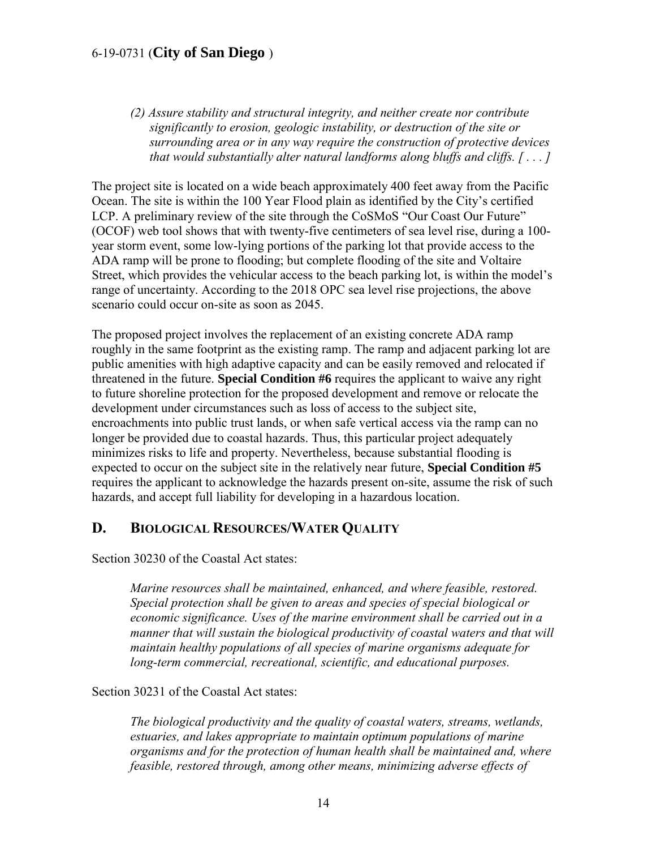*(2) Assure stability and structural integrity, and neither create nor contribute significantly to erosion, geologic instability, or destruction of the site or surrounding area or in any way require the construction of protective devices that would substantially alter natural landforms along bluffs and cliffs. [ . . . ]*

The project site is located on a wide beach approximately 400 feet away from the Pacific Ocean. The site is within the 100 Year Flood plain as identified by the City's certified LCP. A preliminary review of the site through the CoSMoS "Our Coast Our Future" (OCOF) web tool shows that with twenty-five centimeters of sea level rise, during a 100 year storm event, some low-lying portions of the parking lot that provide access to the ADA ramp will be prone to flooding; but complete flooding of the site and Voltaire Street, which provides the vehicular access to the beach parking lot, is within the model's range of uncertainty. According to the 2018 OPC sea level rise projections, the above scenario could occur on-site as soon as 2045.

The proposed project involves the replacement of an existing concrete ADA ramp roughly in the same footprint as the existing ramp. The ramp and adjacent parking lot are public amenities with high adaptive capacity and can be easily removed and relocated if threatened in the future. **Special Condition #6** requires the applicant to waive any right to future shoreline protection for the proposed development and remove or relocate the development under circumstances such as loss of access to the subject site, encroachments into public trust lands, or when safe vertical access via the ramp can no longer be provided due to coastal hazards. Thus, this particular project adequately minimizes risks to life and property. Nevertheless, because substantial flooding is expected to occur on the subject site in the relatively near future, **Special Condition #5** requires the applicant to acknowledge the hazards present on-site, assume the risk of such hazards, and accept full liability for developing in a hazardous location.

#### <span id="page-13-0"></span>**D. BIOLOGICAL RESOURCES/WATER QUALITY**

Section 30230 of the Coastal Act states:

*Marine resources shall be maintained, enhanced, and where feasible, restored. Special protection shall be given to areas and species of special biological or economic significance. Uses of the marine environment shall be carried out in a manner that will sustain the biological productivity of coastal waters and that will maintain healthy populations of all species of marine organisms adequate for long-term commercial, recreational, scientific, and educational purposes.* 

#### Section 30231 of the Coastal Act states:

*The biological productivity and the quality of coastal waters, streams, wetlands, estuaries, and lakes appropriate to maintain optimum populations of marine organisms and for the protection of human health shall be maintained and, where feasible, restored through, among other means, minimizing adverse effects of*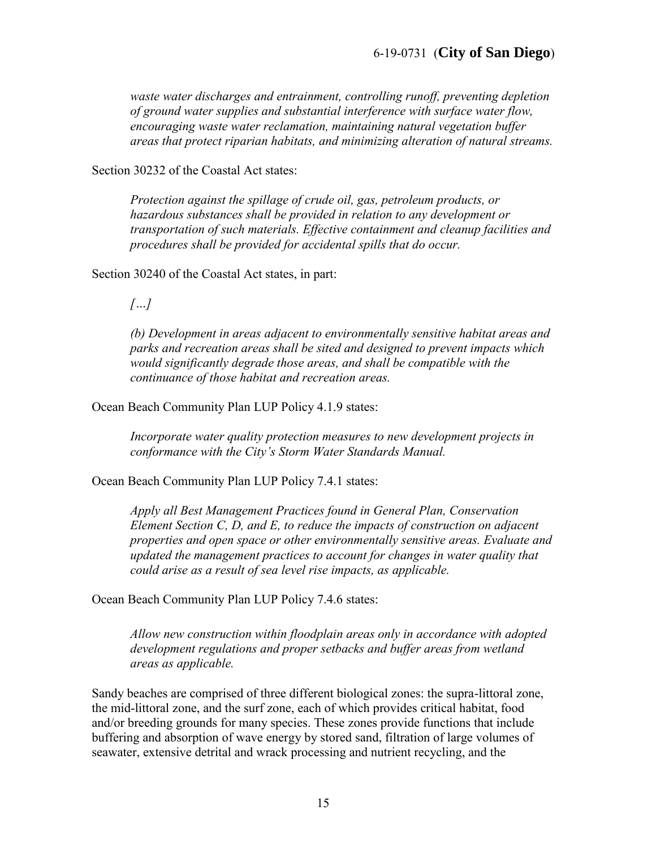*waste water discharges and entrainment, controlling runoff, preventing depletion of ground water supplies and substantial interference with surface water flow, encouraging waste water reclamation, maintaining natural vegetation buffer areas that protect riparian habitats, and minimizing alteration of natural streams.* 

Section 30232 of the Coastal Act states:

*Protection against the spillage of crude oil, gas, petroleum products, or hazardous substances shall be provided in relation to any development or transportation of such materials. Effective containment and cleanup facilities and procedures shall be provided for accidental spills that do occur.* 

Section 30240 of the Coastal Act states, in part:

*[…]* 

*(b) Development in areas adjacent to environmentally sensitive habitat areas and parks and recreation areas shall be sited and designed to prevent impacts which would significantly degrade those areas, and shall be compatible with the continuance of those habitat and recreation areas.* 

Ocean Beach Community Plan LUP Policy 4.1.9 states:

*Incorporate water quality protection measures to new development projects in conformance with the City's Storm Water Standards Manual.* 

Ocean Beach Community Plan LUP Policy 7.4.1 states:

*Apply all Best Management Practices found in General Plan, Conservation Element Section C, D, and E, to reduce the impacts of construction on adjacent properties and open space or other environmentally sensitive areas. Evaluate and updated the management practices to account for changes in water quality that could arise as a result of sea level rise impacts, as applicable.* 

Ocean Beach Community Plan LUP Policy 7.4.6 states:

*Allow new construction within floodplain areas only in accordance with adopted development regulations and proper setbacks and buffer areas from wetland areas as applicable.* 

Sandy beaches are comprised of three different biological zones: the supra-littoral zone, the mid-littoral zone, and the surf zone, each of which provides critical habitat, food and/or breeding grounds for many species. These zones provide functions that include buffering and absorption of wave energy by stored sand, filtration of large volumes of seawater, extensive detrital and wrack processing and nutrient recycling, and the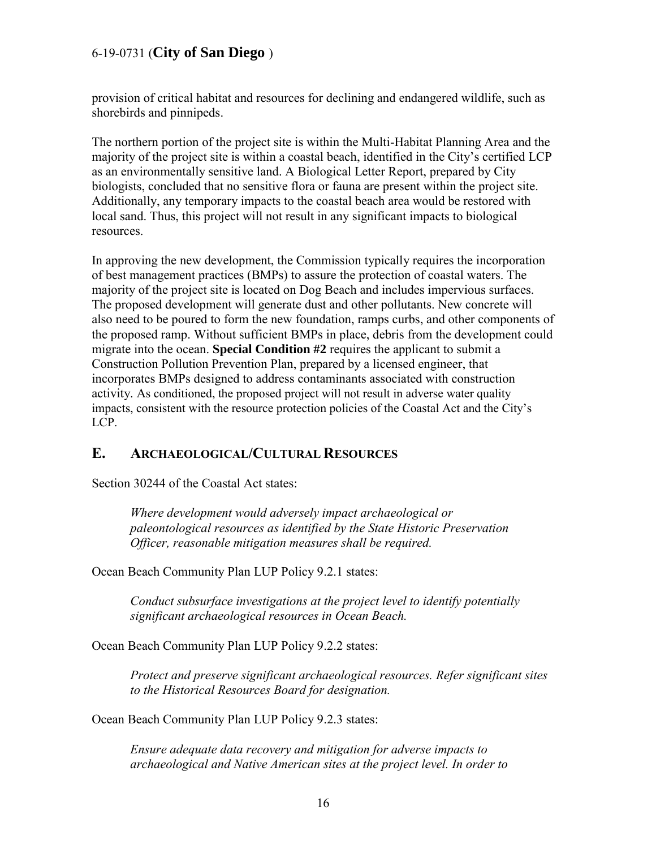provision of critical habitat and resources for declining and endangered wildlife, such as shorebirds and pinnipeds.

The northern portion of the project site is within the Multi-Habitat Planning Area and the majority of the project site is within a coastal beach, identified in the City's certified LCP as an environmentally sensitive land. A Biological Letter Report, prepared by City biologists, concluded that no sensitive flora or fauna are present within the project site. Additionally, any temporary impacts to the coastal beach area would be restored with local sand. Thus, this project will not result in any significant impacts to biological resources.

In approving the new development, the Commission typically requires the incorporation of best management practices (BMPs) to assure the protection of coastal waters. The majority of the project site is located on Dog Beach and includes impervious surfaces. The proposed development will generate dust and other pollutants. New concrete will also need to be poured to form the new foundation, ramps curbs, and other components of the proposed ramp. Without sufficient BMPs in place, debris from the development could migrate into the ocean. **Special Condition #2** requires the applicant to submit a Construction Pollution Prevention Plan, prepared by a licensed engineer, that incorporates BMPs designed to address contaminants associated with construction activity. As conditioned, the proposed project will not result in adverse water quality impacts, consistent with the resource protection policies of the Coastal Act and the City's LCP.

### <span id="page-15-0"></span>**E. ARCHAEOLOGICAL/CULTURAL RESOURCES**

Section 30244 of the Coastal Act states:

*Where development would adversely impact archaeological or paleontological resources as identified by the State Historic Preservation Officer, reasonable mitigation measures shall be required.* 

Ocean Beach Community Plan LUP Policy 9.2.1 states:

*Conduct subsurface investigations at the project level to identify potentially significant archaeological resources in Ocean Beach.* 

Ocean Beach Community Plan LUP Policy 9.2.2 states:

*Protect and preserve significant archaeological resources. Refer significant sites to the Historical Resources Board for designation.* 

Ocean Beach Community Plan LUP Policy 9.2.3 states:

*Ensure adequate data recovery and mitigation for adverse impacts to archaeological and Native American sites at the project level. In order to*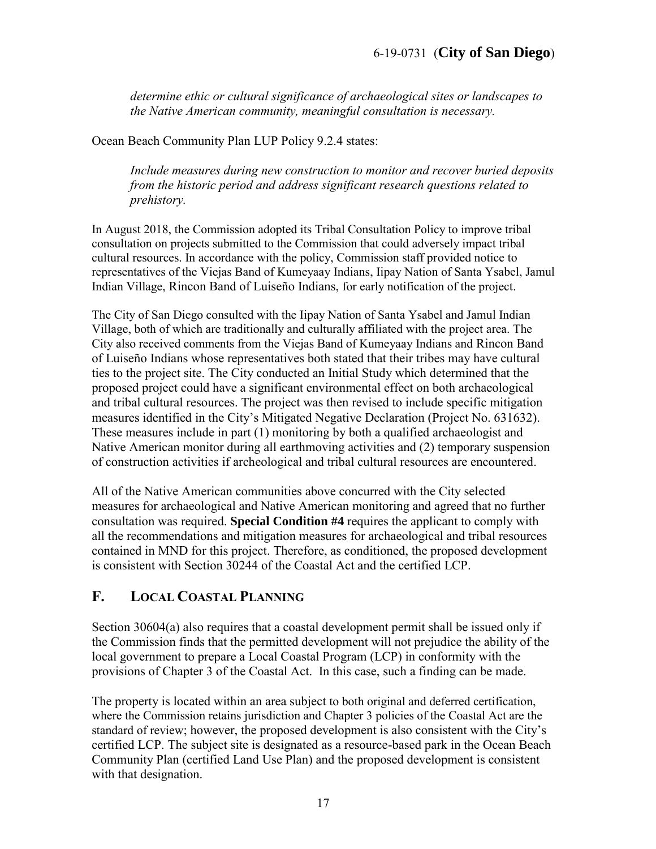*determine ethic or cultural significance of archaeological sites or landscapes to the Native American community, meaningful consultation is necessary.* 

Ocean Beach Community Plan LUP Policy 9.2.4 states:

*Include measures during new construction to monitor and recover buried deposits from the historic period and address significant research questions related to prehistory.* 

In August 2018, the Commission adopted its Tribal Consultation Policy to improve tribal consultation on projects submitted to the Commission that could adversely impact tribal cultural resources. In accordance with the policy, Commission staff provided notice to representatives of the Viejas Band of Kumeyaay Indians, Iipay Nation of Santa Ysabel, Jamul Indian Village, Rincon Band of Luiseño Indians, for early notification of the project.

The City of San Diego consulted with the Iipay Nation of Santa Ysabel and Jamul Indian Village, both of which are traditionally and culturally affiliated with the project area. The City also received comments from the Viejas Band of Kumeyaay Indians and Rincon Band of Luiseño Indians whose representatives both stated that their tribes may have cultural ties to the project site. The City conducted an Initial Study which determined that the proposed project could have a significant environmental effect on both archaeological and tribal cultural resources. The project was then revised to include specific mitigation measures identified in the City's Mitigated Negative Declaration (Project No. 631632). These measures include in part (1) monitoring by both a qualified archaeologist and Native American monitor during all earthmoving activities and (2) temporary suspension of construction activities if archeological and tribal cultural resources are encountered.

All of the Native American communities above concurred with the City selected measures for archaeological and Native American monitoring and agreed that no further consultation was required. **Special Condition #4** requires the applicant to comply with all the recommendations and mitigation measures for archaeological and tribal resources contained in MND for this project. Therefore, as conditioned, the proposed development is consistent with Section 30244 of the Coastal Act and the certified LCP.

## <span id="page-16-0"></span>**F. LOCAL COASTAL PLANNING**

Section 30604(a) also requires that a coastal development permit shall be issued only if the Commission finds that the permitted development will not prejudice the ability of the local government to prepare a Local Coastal Program (LCP) in conformity with the provisions of Chapter 3 of the Coastal Act. In this case, such a finding can be made.

The property is located within an area subject to both original and deferred certification, where the Commission retains jurisdiction and Chapter 3 policies of the Coastal Act are the standard of review; however, the proposed development is also consistent with the City's certified LCP. The subject site is designated as a resource-based park in the Ocean Beach Community Plan (certified Land Use Plan) and the proposed development is consistent with that designation.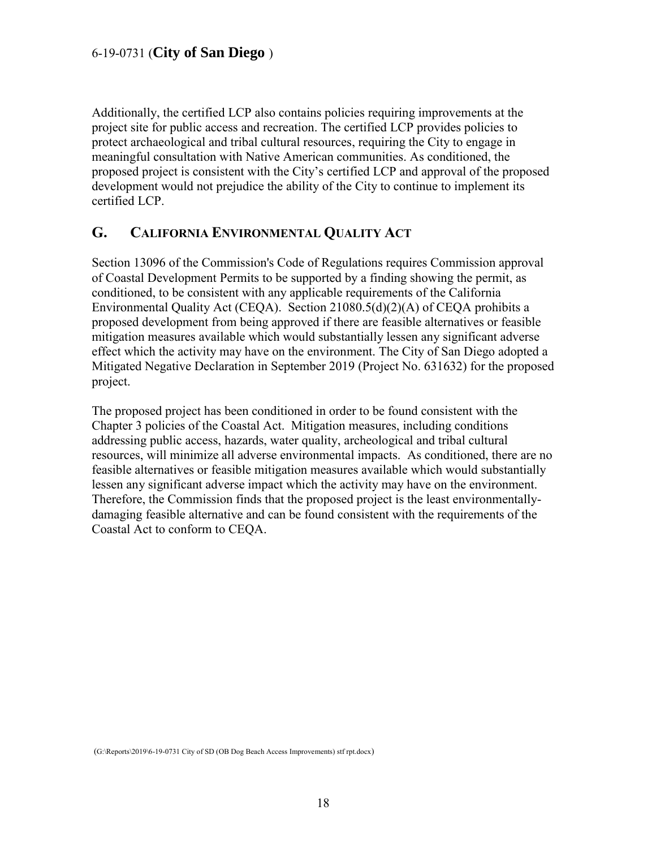Additionally, the certified LCP also contains policies requiring improvements at the project site for public access and recreation. The certified LCP provides policies to protect archaeological and tribal cultural resources, requiring the City to engage in meaningful consultation with Native American communities. As conditioned, the proposed project is consistent with the City's certified LCP and approval of the proposed development would not prejudice the ability of the City to continue to implement its certified LCP.

## <span id="page-17-0"></span>**G. CALIFORNIA ENVIRONMENTAL QUALITY ACT**

Section 13096 of the Commission's Code of Regulations requires Commission approval of Coastal Development Permits to be supported by a finding showing the permit, as conditioned, to be consistent with any applicable requirements of the California Environmental Quality Act (CEQA). Section 21080.5(d)(2)(A) of CEQA prohibits a proposed development from being approved if there are feasible alternatives or feasible mitigation measures available which would substantially lessen any significant adverse effect which the activity may have on the environment. The City of San Diego adopted a Mitigated Negative Declaration in September 2019 (Project No. 631632) for the proposed project.

The proposed project has been conditioned in order to be found consistent with the Chapter 3 policies of the Coastal Act. Mitigation measures, including conditions addressing public access, hazards, water quality, archeological and tribal cultural resources, will minimize all adverse environmental impacts. As conditioned, there are no feasible alternatives or feasible mitigation measures available which would substantially lessen any significant adverse impact which the activity may have on the environment. Therefore, the Commission finds that the proposed project is the least environmentallydamaging feasible alternative and can be found consistent with the requirements of the Coastal Act to conform to CEQA.

(G:\Reports\2019\6-19-0731 City of SD (OB Dog Beach Access Improvements) stf rpt.docx)